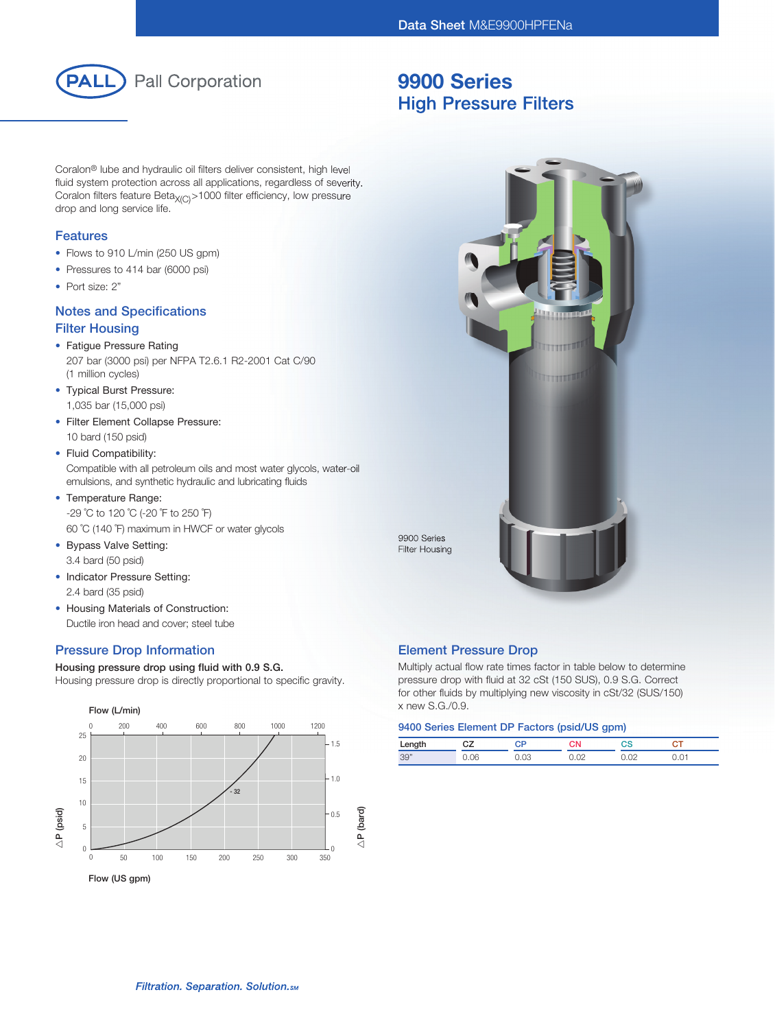

# 9900 Series High Pressure Filters

Coralon® lube and hydraulic oil filters deliver consistent, high level fluid system protection across all applications, regardless of severity. Coralon filters feature Beta<sub>X(C)</sub>>1000 filter efficiency, low pressure drop and long service life.

### Features

- Flows to 910 L/min (250 US gpm)
- Pressures to 414 bar (6000 psi)
- Port size: 2"

## Notes and Specifications Filter Housing

## • Fatigue Pressure Rating

- 207 bar (3000 psi) per NFPA T2.6.1 R2-2001 Cat C/90 (1 million cycles)
- Typical Burst Pressure: 1,035 bar (15,000 psi)
- Filter Element Collapse Pressure: 10 bard (150 psid)

## • Fluid Compatibility:

 Compatible with all petroleum oils and most water glycols, water-oil emulsions, and synthetic hydraulic and lubricating fluids

## • Temperature Range:

 -29 ˚C to 120 ˚C (-20 ˚F to 250 ˚F) 60 ˚C (140 ˚F) maximum in HWCF or water glycols

- Bypass Valve Setting: 3.4 bard (50 psid)
- Indicator Pressure Setting: 2.4 bard (35 psid)
- Housing Materials of Construction: Ductile iron head and cover; steel tube

## Pressure Drop Information

### Housing pressure drop using fluid with 0.9 S.G. Housing pressure drop is directly proportional to specific gravity.





## Element Pressure Drop

Multiply actual flow rate times factor in table below to determine pressure drop with fluid at 32 cSt (150 SUS), 0.9 S.G. Correct for other fluids by multiplying new viscosity in cSt/32 (SUS/150) x new S.G./0.9.

#### 9400 Series Element DP Factors (psid/US gpm)

| Length |      |     | лΝ | 73 |  |
|--------|------|-----|----|----|--|
| 39"    | 06،، | .os |    |    |  |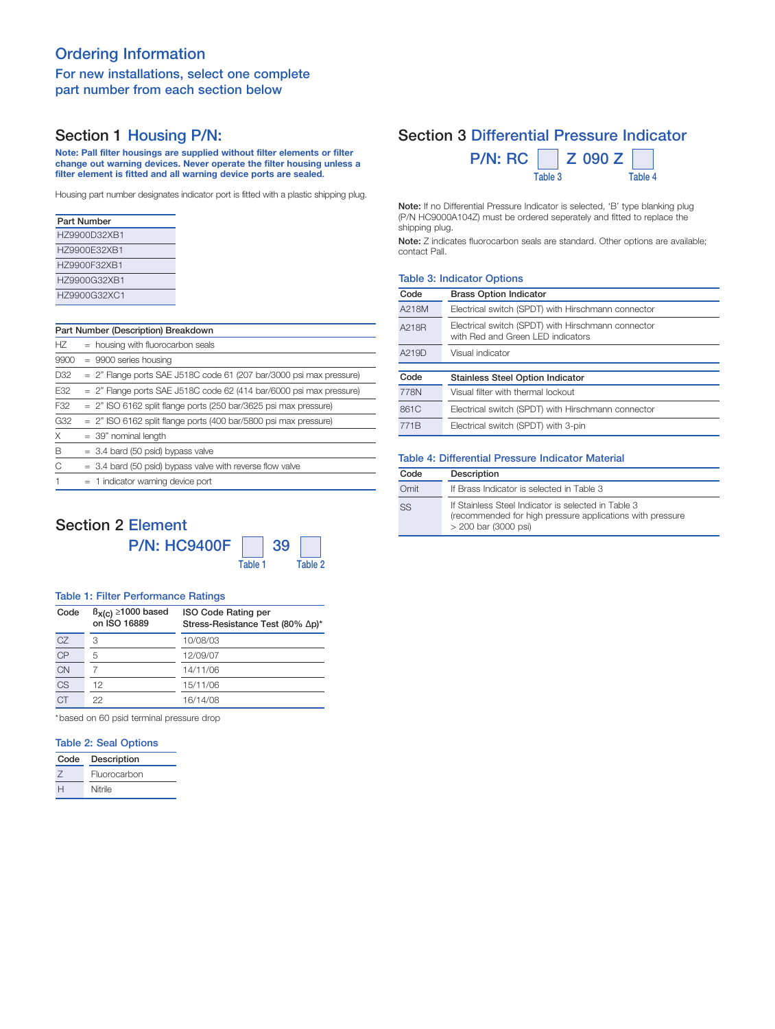# Ordering Information

## For new installations, select one complete part number from each section below

# Section 1 Housing P/N:

Note: Pall filter housings are supplied without filter elements or filter change out warning devices. Never operate the filter housing unless a filter element is fitted and all warning device ports are sealed.

Housing part number designates indicator port is fitted with a plastic shipping plug.

| Part Number  |
|--------------|
| HZ9900D32XB1 |
| HZ9900E32XB1 |
| H79900F32XB1 |
| H79900G32XB1 |
| H79900G32XC1 |

### Part Number (Description) Breakdown

| HZ.  | = housing with fluorocarbon seals                                      |
|------|------------------------------------------------------------------------|
| 9900 | $= 9900$ series housing                                                |
| D32  | $= 2$ " Flange ports SAE J518C code 61 (207 bar/3000 psi max pressure) |
| E32  | $= 2$ " Flange ports SAE J518C code 62 (414 bar/6000 psi max pressure) |
| F32  | $= 2$ " ISO 6162 split flange ports (250 bar/3625 psi max pressure)    |
| G32  | $= 2$ " ISO 6162 split flange ports (400 bar/5800 psi max pressure)    |
| X    | $=$ 39" nominal length                                                 |
| B    | $=$ 3.4 bard (50 psid) bypass valve                                    |
| C    | $=$ 3.4 bard (50 psid) bypass valve with reverse flow valve            |
|      | $=$ 1 indicator warning device port                                    |

## Section 2 Element

| <b>P/N: HC9400F</b> |         | $\vert$ 39 |
|---------------------|---------|------------|
|                     | Table 1 |            |

Table 2

| <b>Table 1: Filter Performance Ratings</b> |                                               |                                                                |  |
|--------------------------------------------|-----------------------------------------------|----------------------------------------------------------------|--|
| Code                                       | $\beta_{X(C)} \ge 1000$ based<br>on ISO 16889 | <b>ISO Code Rating per</b><br>Stress-Resistance Test (80% Δp)* |  |
| CZ                                         | 3                                             | 10/08/03                                                       |  |
| $\overline{CP}$                            | 5                                             | 12/09/07                                                       |  |
| <b>CN</b>                                  |                                               | 14/11/06                                                       |  |
| CS                                         | 12                                            | 15/11/06                                                       |  |

16/14/08

\*based on 60 psid terminal pressure drop

### Table 2: Seal Options

22

**CT** 

| Code | Description  |
|------|--------------|
|      | Fluorocarbon |
|      | Nitrile      |

## Section 3 Differential Pressure Indicator

| $P/N$ : RC $\parallel$ | $Z$ 090 Z |         |
|------------------------|-----------|---------|
|                        | Table 3   | Table 4 |

Note: If no Differential Pressure Indicator is selected, 'B' type blanking plug (P/N HC9000A104Z) must be ordered seperately and fitted to replace the shipping plug.

Note: Z indicates fluorocarbon seals are standard. Other options are available; contact Pall.

## Table 3: Indicator Options

| Code             | <b>Brass Option Indicator</b>                                                           |
|------------------|-----------------------------------------------------------------------------------------|
| A218M            | Electrical switch (SPDT) with Hirschmann connector                                      |
| A218R            | Electrical switch (SPDT) with Hirschmann connector<br>with Red and Green LED indicators |
| A219D            | Visual indicator                                                                        |
|                  |                                                                                         |
| Code             | <b>Stainless Steel Option Indicator</b>                                                 |
| 778N             | Visual filter with thermal lockout                                                      |
| 861C             | Electrical switch (SPDT) with Hirschmann connector                                      |
| 771 <sub>B</sub> | Electrical switch (SPDT) with 3-pin                                                     |

#### Table 4: Differential Pressure Indicator Material

| Code | Description                                                                                                                              |
|------|------------------------------------------------------------------------------------------------------------------------------------------|
| Omit | If Brass Indicator is selected in Table 3                                                                                                |
| SS   | If Stainless Steel Indicator is selected in Table 3<br>(recommended for high pressure applications with pressure<br>> 200 bar (3000 psi) |